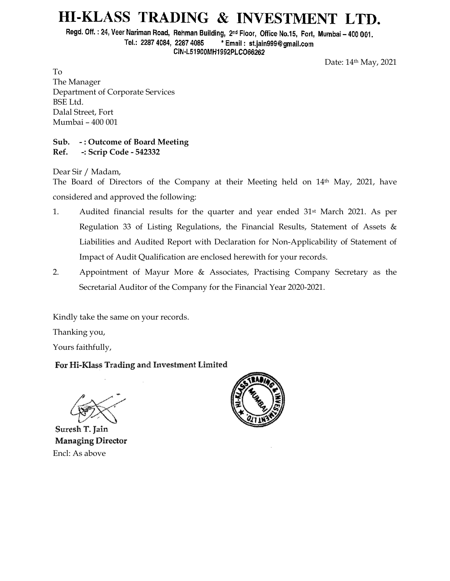# HI-KLASS TRADING & INVESTMENT LTD.

Regd. Off.: 24, Veer Nariman Road, Rehman Building, 2nd Floor, Office No.15, Fort, Mumbai - 400 001. Tel.: 2287 4084, 2287 4085 \* Email: st.jain999@gmail.com CIN-L51900MH1992PLCO66262

Date: 14th May, 2021

To The Manager Department of Corporate Services BSE Ltd. Dalal Street, Fort Mumbai – 400 001

**Sub. - : Outcome of Board Meeting Ref. -: Scrip Code - 542332**

Dear Sir / Madam,

The Board of Directors of the Company at their Meeting held on 14<sup>th</sup> May, 2021, have considered and approved the following:

- 1. Audited financial results for the quarter and year ended 31st March 2021. As per Regulation 33 of Listing Regulations, the Financial Results, Statement of Assets & Liabilities and Audited Report with Declaration for Non-Applicability of Statement of Impact of Audit Qualification are enclosed herewith for your records.
- 2. Appointment of Mayur More & Associates, Practising Company Secretary as the Secretarial Auditor of the Company for the Financial Year 2020-2021.

Kindly take the same on your records.

Thanking you,

Yours faithfully,

For Hi-Klass Trading and Investment Limited

Suresh T. Jain **Managing Director** Encl: As above

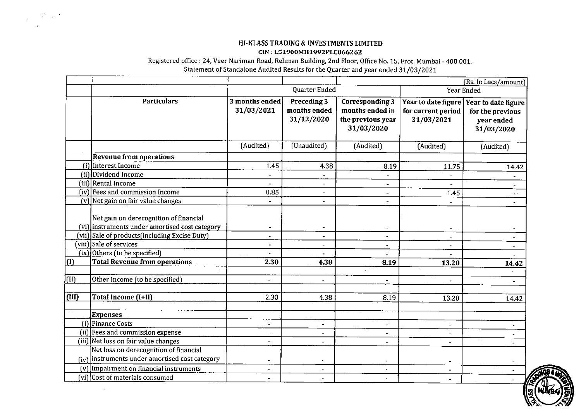#### HI-KLASS TRADING & INVESTMENTS LIMITED CIN: L51900MH1992PLC066262

 $\mathcal{R} \subset \mathbb{R}^{d \times d}$ 

 $\sim$ 

### Registered office: 24, Veer Nariman Road, Rehman Building, 2nd Floor, Office No. 15, Frot, Mumbai - 400 001. Statement of Standalone Audited Results for the Quarter and year ended 31/03/2021

|               |                                                                                                                                                                                                                                                 |                              |                                           | (Rs. In Lacs/amount)                                                         |                                                                    |                                                                     |  |
|---------------|-------------------------------------------------------------------------------------------------------------------------------------------------------------------------------------------------------------------------------------------------|------------------------------|-------------------------------------------|------------------------------------------------------------------------------|--------------------------------------------------------------------|---------------------------------------------------------------------|--|
|               |                                                                                                                                                                                                                                                 | Quarter Ended                |                                           |                                                                              | <b>Year Ended</b>                                                  |                                                                     |  |
|               | <b>Particulars</b>                                                                                                                                                                                                                              | 3 months ended<br>31/03/2021 | Preceding 3<br>months ended<br>31/12/2020 | <b>Corresponding 3</b><br>months ended in<br>the previous year<br>31/03/2020 | Year to date figure<br>for current period<br>31/03/2021            | Year to date figure<br>for the previous<br>year ended<br>31/03/2020 |  |
|               |                                                                                                                                                                                                                                                 | (Audited)                    | (Unaudited)                               | (Audited)                                                                    | (Audited)                                                          | (Audited)                                                           |  |
|               | <b>Revenue from operations</b>                                                                                                                                                                                                                  |                              |                                           |                                                                              |                                                                    |                                                                     |  |
|               | (i) Interest Income                                                                                                                                                                                                                             | 1.45                         | 438                                       | 8.19                                                                         | 11.75                                                              | 14.42                                                               |  |
|               | (ii) Dividend Income                                                                                                                                                                                                                            |                              |                                           |                                                                              |                                                                    | -                                                                   |  |
|               | (iii) Rental Income                                                                                                                                                                                                                             |                              |                                           | $\overline{\phantom{a}}$                                                     | $\overline{\phantom{a}}$                                           | $\blacksquare$                                                      |  |
|               | (iv) Fees and commission Income                                                                                                                                                                                                                 | 0.85                         | $\blacksquare$                            | ٠                                                                            | 1.45                                                               | $\blacksquare$ :                                                    |  |
|               | (v) Net gain on fair value changes                                                                                                                                                                                                              |                              | $\blacksquare$                            | ۰.                                                                           | $\sim$                                                             |                                                                     |  |
| $\vert$ (I)   | Net gain on derecognition of financial<br>(vi) instruments under amortised cost category<br>(vii) Sale of products(including Excise Duty)<br>(viii) Sale of services<br>$(ix)$ Others (to be specified)<br><b>Total Revenue from operations</b> | $\blacksquare$<br>2.30       | -<br>$\overline{a}$<br>4.38               | ٠<br>ä,<br>-<br>$\blacksquare$<br>8.19                                       | $\blacksquare$<br>$\blacksquare$<br>۰.<br>$\overline{\phantom{a}}$ | ÷.<br>$\overline{\phantom{a}}$                                      |  |
|               |                                                                                                                                                                                                                                                 |                              |                                           |                                                                              | 13.20                                                              | 14.42                                                               |  |
| $(\text{II})$ | Other Income (to be specified)                                                                                                                                                                                                                  | ä,                           | $\blacksquare$                            | $\blacksquare$                                                               | $\blacksquare$                                                     | $\blacksquare$                                                      |  |
| (III)         | Total Income (I+II)                                                                                                                                                                                                                             | 2.30                         | 4.38                                      | 8.19                                                                         | 13.20                                                              | 14.42                                                               |  |
|               | <b>Expenses</b>                                                                                                                                                                                                                                 |                              |                                           |                                                                              |                                                                    |                                                                     |  |
|               | (i) Finance Costs                                                                                                                                                                                                                               | L.                           |                                           | $\overline{\phantom{0}}$                                                     | $\overline{\phantom{a}}$                                           |                                                                     |  |
|               | (ii) Fees and commission expense                                                                                                                                                                                                                |                              |                                           | $\overline{\phantom{0}}$                                                     | $\blacksquare$                                                     |                                                                     |  |
|               | (iii) Net loss on fair value changes                                                                                                                                                                                                            | ÷.                           | ٠                                         | $\blacksquare$                                                               | $\blacksquare$                                                     |                                                                     |  |
|               | Net loss on derecognition of financial<br>$(iv)$ instruments under amortised cost category                                                                                                                                                      | $\blacksquare$               | $\mathbf{r}$                              | $\sim$                                                                       |                                                                    |                                                                     |  |
|               | $(v)$ Impairment on financial instruments                                                                                                                                                                                                       | $\blacksquare$               |                                           |                                                                              | $\blacksquare$                                                     | $\tilde{\phantom{a}}$                                               |  |
|               | (vi) Cost of materials consumed                                                                                                                                                                                                                 |                              | $\overline{\phantom{a}}$                  |                                                                              |                                                                    |                                                                     |  |

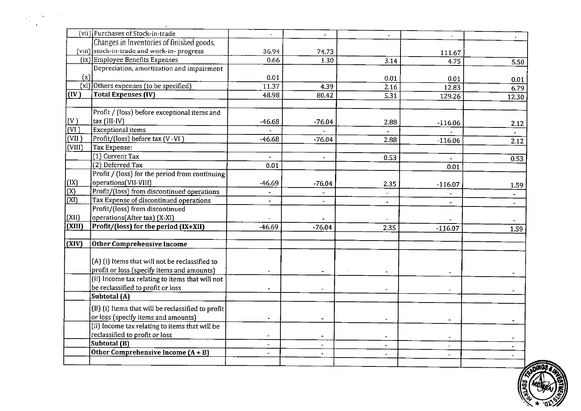|                         | (vii) Purchases of Stock-in-trade                 | $\blacksquare$           | ÷                        | $\overline{a}$           | $\blacksquare$               | $\blacksquare$           |
|-------------------------|---------------------------------------------------|--------------------------|--------------------------|--------------------------|------------------------------|--------------------------|
|                         | Changes in Inventories of finished goods,         |                          |                          |                          |                              |                          |
|                         | (viii) stock-in-trade and work-in-progress        | 36.94                    | 74.73                    |                          | 111.67                       |                          |
|                         | (ix) Employee Benefits Expenses                   | 0.66                     | 1.30                     | 3.14                     | 4.75                         | 5.50                     |
|                         | Depreciation, amortization and impairment         |                          |                          |                          |                              |                          |
| (x)                     |                                                   | 0.01                     |                          | 0.01                     | 0.01                         | 0.01                     |
|                         | $(x_i)$ Others expenses (to be specified)         | 11.37                    | 439                      | 2.16                     | 12.83                        | 6.79                     |
| (IV)                    | <b>Total Expenses (IV)</b>                        | 48.98                    | 80.42                    | 5.31                     | 129.26                       | 12.30                    |
|                         |                                                   |                          |                          |                          |                              |                          |
|                         | Profit / (loss) before exceptional items and      |                          |                          |                          |                              |                          |
| (V)                     | tax (III-IV)                                      | $-46.68$                 | $-76.04$                 | 2.88                     | $-116.06$                    | 2.12                     |
| (VI)                    | <b>Exceptional items</b>                          |                          |                          |                          |                              |                          |
| (VII)                   | Profit/(loss) before tax (V -VI )                 | $-46.68$                 | $-76.04$                 | 2.88                     | $-116.06$                    | 2.12                     |
| (VIII)                  | Tax Expense:                                      |                          |                          |                          |                              |                          |
|                         | (1) Current Tax                                   | $\blacksquare$           | $\blacksquare$           | 0.53                     | $\overline{\phantom{a}}$     | 0.53                     |
|                         | (2) Deferred Tax                                  | 0.01                     |                          |                          | 0.01                         |                          |
|                         | Profit / (loss) for the period from continuing    |                          |                          |                          |                              |                          |
| $\vert$ (IX)            | operations(VII-VIII)                              | $-46.69$                 | $-76.04$                 | 2.35                     | $-116.07$                    | 1.59                     |
| $\overline{(\text{X})}$ | Profit/(loss) from discontinued operations        | $\blacksquare$           |                          | $\blacksquare$           |                              |                          |
| (XI)                    | Tax Expense of discontinued operations            | $\overline{\phantom{0}}$ |                          | $\overline{\phantom{a}}$ | $\qquad \qquad \blacksquare$ | $\overline{a}$           |
|                         | Profit/(loss) from discontinued                   |                          |                          |                          |                              |                          |
| (XII)                   | operations(After tax) (X-XI)                      |                          |                          |                          |                              | $\overline{\phantom{a}}$ |
| (XIII)                  | Profit/(loss) for the period (IX+XII)             | $-46.69$                 | $-76.04$                 | 2.35                     | $-116.07$                    | 1.59                     |
|                         |                                                   |                          |                          |                          |                              |                          |
| (XIV)                   | Other Comprehensive Income                        |                          |                          |                          |                              |                          |
|                         |                                                   |                          |                          |                          |                              |                          |
|                         | (A) (i) Items that will not be reclassified to    |                          |                          |                          |                              |                          |
|                         | profit or loss (specify items and amounts)        |                          |                          |                          |                              |                          |
|                         | (ii) Income tax relating to items that will not   |                          |                          |                          |                              |                          |
|                         | be reclassified to profit or loss                 |                          |                          |                          |                              |                          |
|                         | Subtotal $(A)$                                    |                          |                          |                          |                              |                          |
|                         | (B) (i) Items that will be reclassified to profit |                          |                          |                          |                              |                          |
|                         | or loss (specify items and amounts)               | $\blacksquare$           | $\overline{\phantom{a}}$ | $\overline{\phantom{a}}$ |                              |                          |
|                         | (ii) Income tax relating to items that will be    |                          |                          |                          |                              |                          |
|                         | reclassified to profit or loss                    |                          | $\blacksquare$           | $\sim$                   |                              |                          |
|                         | Subtotal (B)                                      |                          | $\blacksquare$           | $\overline{\phantom{a}}$ | $\overline{\phantom{a}}$     |                          |
|                         | Other Comprehensive Income (A + B)                | $\overline{\phantom{a}}$ | ä,                       | $\overline{\phantom{0}}$ | $\sim$                       | $\blacksquare$           |
|                         |                                                   |                          |                          |                          |                              |                          |



 $\mathcal{L}$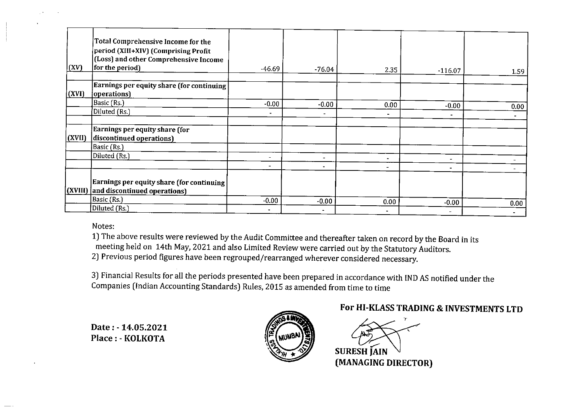|        | Total Comprehensive Income for the<br>period (XIII+XIV) (Comprising Profit |                          |          |                          |                          |                |
|--------|----------------------------------------------------------------------------|--------------------------|----------|--------------------------|--------------------------|----------------|
|        | (Loss) and other Comprehensive Income                                      |                          |          |                          |                          |                |
| (XV)   | for the period)                                                            |                          |          |                          |                          |                |
|        |                                                                            | $-46.69$                 | $-76.04$ | 2.35                     | $-116.07$                | 1.59           |
|        | Earnings per equity share (for continuing $\vert$                          |                          |          |                          |                          |                |
| (XVI)  | operations)                                                                |                          |          |                          |                          |                |
|        | Basic (Rs.)                                                                | $-0.00$                  | $-0.00$  | 0.00                     | $-0.00$                  | 0.00           |
|        | Diluted (Rs.)                                                              | $\blacksquare$           | ۰.       | $\blacksquare$           | $\blacksquare$           |                |
|        |                                                                            |                          |          |                          |                          |                |
|        | Earnings per equity share (for                                             |                          |          |                          |                          |                |
| (XVII) | discontinued operations)                                                   |                          |          |                          |                          |                |
|        | Basic (Rs.)                                                                |                          |          |                          |                          |                |
|        | Diluted (Rs.)                                                              | $\overline{\phantom{0}}$ | -        | $\blacksquare$           | $\overline{\phantom{a}}$ |                |
|        |                                                                            | $\overline{\phantom{0}}$ | ٠        | $\overline{\phantom{a}}$ | $\blacksquare$           |                |
|        | Earnings per equity share (for continuing $\mid$                           |                          |          |                          |                          |                |
|        | (XVIII) and discontinued operations)                                       |                          |          |                          |                          |                |
|        | Basic (Rs.)                                                                |                          |          |                          |                          |                |
|        |                                                                            | $-0.00$                  | $-0.00$  | 0.00                     | $-0.00$                  | 0.00           |
|        | Diluted (Rs.)                                                              |                          |          |                          | $\overline{\phantom{0}}$ | $\blacksquare$ |

Notes:

1) The above results were reviewed by the Audit Committee and thereafter taken on record by the Board in its

meeting held on 14th May, 2021 and also Limited Review were carried out by the Statutory Auditors.

2) Previous period figures have been regrouped/rearranged wherever considered necessary.

3) Financial Results for all the periods presented have been prepared in accordance with IND AS notified under the Companies (Indian Accounting Standards) Rules, 2015 as amended from time to time

Date: - 14.05.2021 Place: - KOLKOTA



## For HI-KLASS TRADING & INVESTMENTS LTD

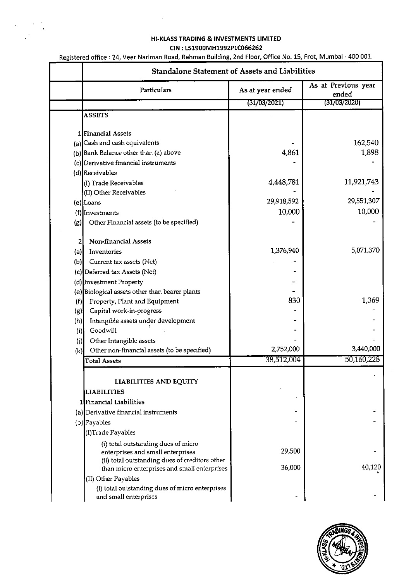### HI-KLASS TRADING & INVESTMENTS LIMITED CIN: L51900MH1992PLC066262

 $\sim$   $\sim$ 

 $\label{eq:2} \frac{1}{\sqrt{2}}\left(\frac{1}{\sqrt{2}}\right)^2\frac{1}{\sqrt{2}}\left(\frac{1}{\sqrt{2}}\right)^2$  $\frac{1}{2}$ 

|                                                                          | Standalone Statement of Assets and Liabilities |                              |  |  |  |
|--------------------------------------------------------------------------|------------------------------------------------|------------------------------|--|--|--|
| Particulars                                                              | As at year ended                               | As at Previous year<br>ended |  |  |  |
|                                                                          | (31/03/2021)                                   | (31/03/2020)                 |  |  |  |
| <b>ASSETS</b>                                                            |                                                |                              |  |  |  |
| 1 Financial Assets                                                       |                                                |                              |  |  |  |
| $(a)$ Cash and cash equivalents                                          |                                                | 162,540                      |  |  |  |
| (b) Bank Balance other than (a) above                                    | 4,861                                          | 1,898                        |  |  |  |
| (c) Derivative financial instruments                                     |                                                |                              |  |  |  |
| (d) Receivables                                                          |                                                |                              |  |  |  |
| (I) Trade Receivables                                                    | 4,448,781                                      | 11,921,743                   |  |  |  |
| (II) Other Receivables                                                   |                                                |                              |  |  |  |
| (e)Loans                                                                 | 29,918,592                                     | 29,551,307                   |  |  |  |
| (f) Investments                                                          | 10,000                                         | 10,000                       |  |  |  |
| Other Financial assets (to be specified)<br>(g)                          |                                                |                              |  |  |  |
| Non-financial Assets<br>2                                                |                                                |                              |  |  |  |
| Inventories<br>(a)                                                       | 1,376,940                                      | 5,071,370                    |  |  |  |
| Current tax assets (Net)<br>(b)                                          |                                                |                              |  |  |  |
| (c) Deferred tax Assets (Net)                                            |                                                |                              |  |  |  |
| (d) Investment Property                                                  |                                                |                              |  |  |  |
| (e) Biological assets other than bearer plants                           |                                                |                              |  |  |  |
| Property, Plant and Equipment<br>(f)                                     | 830                                            | 1,369                        |  |  |  |
| Capital work-in-progress<br>(g)]                                         |                                                |                              |  |  |  |
| Intangible assets under development<br>(h) <b> </b>                      |                                                |                              |  |  |  |
| Goodwill<br>(i)                                                          |                                                |                              |  |  |  |
| Other Intangible assets<br>(i)                                           |                                                |                              |  |  |  |
| Other non-financial assets (to be specified)<br>(k)                      | 2,752,000                                      | 3,440,000                    |  |  |  |
| Total Assets                                                             | 38,512,004                                     | 50,160,228                   |  |  |  |
| LIABILITIES AND EQUITY                                                   |                                                |                              |  |  |  |
| <b>LIABILITIES</b>                                                       |                                                |                              |  |  |  |
| 1 Financial Liabilities                                                  |                                                |                              |  |  |  |
| (a) Derivative financial instruments                                     |                                                |                              |  |  |  |
| (b) Payables                                                             |                                                |                              |  |  |  |
| (I)Trade Payables                                                        |                                                |                              |  |  |  |
|                                                                          |                                                |                              |  |  |  |
| (i) total outstanding dues of micro<br>enterprises and small enterprises | 29,500                                         |                              |  |  |  |
| (ii) total outstanding dues of creditors other                           |                                                |                              |  |  |  |
| than micro enterprises and small enterprises                             | 36,000                                         | 40,120                       |  |  |  |
| (II) Other Payables                                                      |                                                |                              |  |  |  |
| (i) total outstanding dues of micro enterprises<br>and small enterprises |                                                |                              |  |  |  |



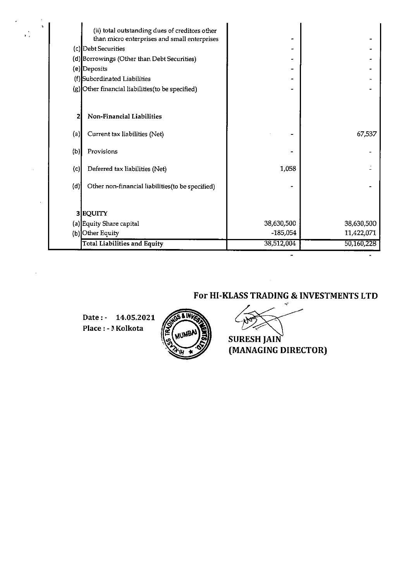|     | (ii) total outstanding dues of creditors other<br>than micro enterprises and small enterprises |            |            |
|-----|------------------------------------------------------------------------------------------------|------------|------------|
|     | (c) Debt Securities                                                                            |            |            |
|     | (d) Borrowings (Other than Debt Securities)                                                    |            |            |
|     | (e) Deposits                                                                                   |            |            |
|     | (f) Subordinated Liabilities                                                                   |            |            |
|     | (g) Other financial liabilities (to be specified)                                              |            |            |
|     |                                                                                                |            |            |
| 2   | Non-Financial Liabilities                                                                      |            |            |
| (a) | Current tax liabilities (Net)                                                                  |            | 67,537     |
| (b) | Provisions                                                                                     |            |            |
| (c) | Deferred tax liabilities (Net)                                                                 | 1,058      |            |
| (d) | Other non-financial liabilities (to be specified)                                              |            |            |
|     |                                                                                                |            |            |
|     | 3 EQUITY                                                                                       |            |            |
|     | (a) Equity Share capital                                                                       | 38,630,500 | 38,630,500 |
|     | (b) Other Equity                                                                               | $-185,054$ | 11,422,071 |
|     | Total Liabilities and Equity                                                                   | 38,512,004 | 50,160,228 |

## For HI-KLASS TRADING & INVESTMENTS LTD

Date: 14.05.2021 Place : - Molkota



SURESH JAIN

(MANAGING DIRECTOR)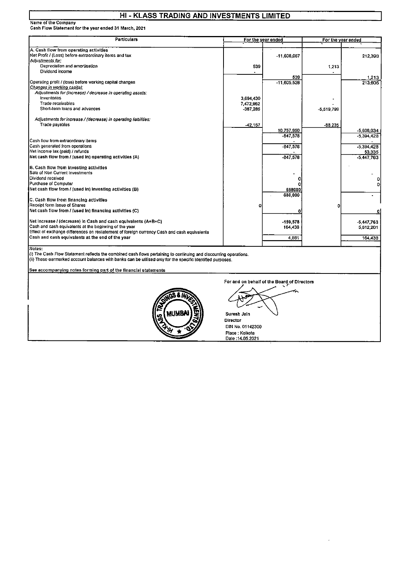### HI - KLASS TRADING AND INVESTMENTS LIMITED

Name of the Company<br>Cash Flow Statement for the year ended 31 March, 2021

| <b>Particulars</b>                                                                                                | For the year ended |                                             | For the year ended |                  |
|-------------------------------------------------------------------------------------------------------------------|--------------------|---------------------------------------------|--------------------|------------------|
| A. Cash flow from operating activities                                                                            |                    |                                             |                    |                  |
| Net Profit / (Loss) before extraordinary items and tax                                                            |                    | $-11,606,067$                               |                    | 212,393          |
| Adjustments for                                                                                                   |                    |                                             |                    |                  |
| Depreciation and amortisation                                                                                     |                    |                                             |                    |                  |
| Dividend income                                                                                                   | 539                |                                             | 1,213              |                  |
|                                                                                                                   |                    | 539                                         |                    |                  |
| Operating profit / (loss) before working capital changes                                                          |                    | $-11,605,528$                               |                    | 1,213<br>213,606 |
| Changes in working capital:                                                                                       |                    |                                             |                    |                  |
| Adjustments for (increase) / decrease in operating assets:                                                        |                    |                                             |                    |                  |
| Inventories                                                                                                       | 3,694,430          |                                             |                    |                  |
| Trade receivables                                                                                                 | 7,472,962          |                                             |                    |                  |
| Short-term loans and advances                                                                                     | -367,285           |                                             | -5.519,799         |                  |
|                                                                                                                   |                    |                                             |                    |                  |
| Adjustments for increase / (decrease) in operating liabilities:                                                   |                    |                                             |                    |                  |
| Trade payables                                                                                                    | $-42, 157$         |                                             | -88.235            |                  |
|                                                                                                                   |                    | 10,757,950                                  |                    | -5 608,034       |
|                                                                                                                   |                    | -847,578                                    |                    | $-5,394,428$     |
| Cash flow from extraordinary items                                                                                |                    |                                             |                    |                  |
| Cash generated from operations                                                                                    |                    | -847.578                                    |                    | -5 394,428       |
| Net income lax (paid) / refunds                                                                                   |                    |                                             |                    | 53,335           |
| Net cash flow from / (used in) operating activities (A)                                                           |                    | $-847,576$                                  |                    | -5.447,763       |
|                                                                                                                   |                    |                                             |                    |                  |
| B. Cash flow from investing activities                                                                            |                    |                                             |                    |                  |
| Sale of Non Current Investments                                                                                   |                    |                                             |                    |                  |
| Dividend received                                                                                                 |                    |                                             |                    |                  |
| Purchase of Computer                                                                                              |                    |                                             |                    | ٥<br>o           |
| Net cash flow from / (used in) investing activities (B)                                                           |                    |                                             |                    |                  |
|                                                                                                                   |                    | 688000<br>688,000                           |                    |                  |
| C. Cash flow from financing activities                                                                            |                    |                                             |                    |                  |
| Receipt form Issue of Shares                                                                                      | c                  |                                             | $\mathbf 0$        |                  |
| Net cash flow from / (used in) financing activities (C)                                                           |                    |                                             |                    |                  |
|                                                                                                                   |                    |                                             |                    | 0                |
| Net increase / (decrease) in Cash and cash equivalents (A+B+C)                                                    |                    |                                             |                    |                  |
| Cash and cash equivalents at the beginning of the year                                                            |                    | $-159,578$                                  |                    | -5 447,763       |
| Effect of exchange differences on restatement of foreign currency Cash and cash equivalents                       |                    | 164,438                                     |                    | 5.612,201        |
| Cash and cash equivalents at the end of the year                                                                  |                    |                                             |                    |                  |
|                                                                                                                   |                    | 4,861                                       |                    | 164,438          |
| Notes:                                                                                                            |                    |                                             |                    |                  |
| (i) The Cash Flow Statement reflects the combined cash flows pertaining to continuing and discounting operations. |                    |                                             |                    |                  |
| (ii) These earmarked account balances with banks can be utilised only for the specific identified purposes.       |                    |                                             |                    |                  |
|                                                                                                                   |                    |                                             |                    |                  |
|                                                                                                                   |                    |                                             |                    |                  |
| See accompanying notes forming part of the financial statements                                                   |                    |                                             |                    |                  |
|                                                                                                                   |                    |                                             |                    |                  |
|                                                                                                                   |                    | For and on behalf of the Board of Directors |                    |                  |
|                                                                                                                   |                    |                                             |                    |                  |
|                                                                                                                   |                    |                                             |                    |                  |
|                                                                                                                   |                    |                                             |                    |                  |
| RESI                                                                                                              |                    |                                             |                    |                  |
| <b>UMBA</b>                                                                                                       |                    |                                             |                    |                  |
|                                                                                                                   | Suresh Jain        |                                             |                    |                  |

Suresh Jain **Director** DIN No. 01142300 Place : Kolkota<br>Date : 14.05.2021

 $\overline{\phantom{a}}$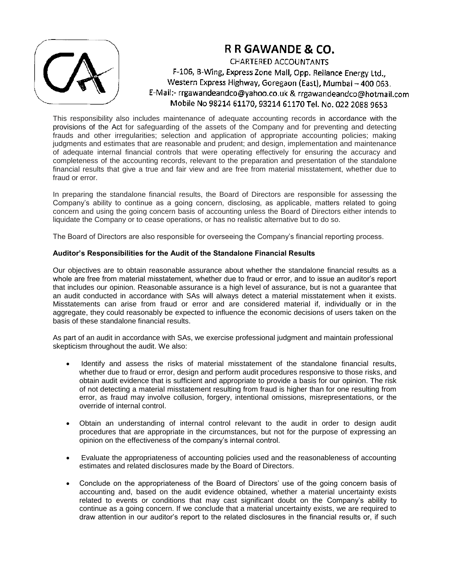

## R R GAWANDE & CO.

CHARTERED ACCOUNTANTS F-106, B-Wing, Express Zone Mall, Opp. Reliance Energy Ltd., Western Express Highway, Goregaon (East), Mumbai - 400 063. E-Mail:- rrgawandeandco@yahoo.co.uk & rrgawandeandco@hotmail.com Mobile No 98214 61170, 93214 61170 Tel. No. 022 2088 9653

This responsibility also includes maintenance of adequate accounting records in accordance with the provisions of the Act for safeguarding of the assets of the Company and for preventing and detecting frauds and other irregularities; selection and application of appropriate accounting policies; making judgments and estimates that are reasonable and prudent; and design, implementation and maintenance of adequate internal financial controls that were operating effectively for ensuring the accuracy and completeness of the accounting records, relevant to the preparation and presentation of the standalone financial results that give a true and fair view and are free from material misstatement, whether due to fraud or error.

In preparing the standalone financial results, the Board of Directors are responsible for assessing the Company"s ability to continue as a going concern, disclosing, as applicable, matters related to going concern and using the going concern basis of accounting unless the Board of Directors either intends to liquidate the Company or to cease operations, or has no realistic alternative but to do so.

The Board of Directors are also responsible for overseeing the Company"s financial reporting process.

#### **Auditor's Responsibilities for the Audit of the Standalone Financial Results**

Our objectives are to obtain reasonable assurance about whether the standalone financial results as a whole are free from material misstatement, whether due to fraud or error, and to issue an auditor"s report that includes our opinion. Reasonable assurance is a high level of assurance, but is not a guarantee that an audit conducted in accordance with SAs will always detect a material misstatement when it exists. Misstatements can arise from fraud or error and are considered material if, individually or in the aggregate, they could reasonably be expected to influence the economic decisions of users taken on the basis of these standalone financial results.

As part of an audit in accordance with SAs, we exercise professional judgment and maintain professional skepticism throughout the audit. We also:

- Identify and assess the risks of material misstatement of the standalone financial results, whether due to fraud or error, design and perform audit procedures responsive to those risks, and obtain audit evidence that is sufficient and appropriate to provide a basis for our opinion. The risk of not detecting a material misstatement resulting from fraud is higher than for one resulting from error, as fraud may involve collusion, forgery, intentional omissions, misrepresentations, or the override of internal control.
- Obtain an understanding of internal control relevant to the audit in order to design audit procedures that are appropriate in the circumstances, but not for the purpose of expressing an opinion on the effectiveness of the company"s internal control.
- Evaluate the appropriateness of accounting policies used and the reasonableness of accounting estimates and related disclosures made by the Board of Directors.
- Conclude on the appropriateness of the Board of Directors' use of the going concern basis of accounting and, based on the audit evidence obtained, whether a material uncertainty exists related to events or conditions that may cast significant doubt on the Company's ability to continue as a going concern. If we conclude that a material uncertainty exists, we are required to draw attention in our auditor"s report to the related disclosures in the financial results or, if such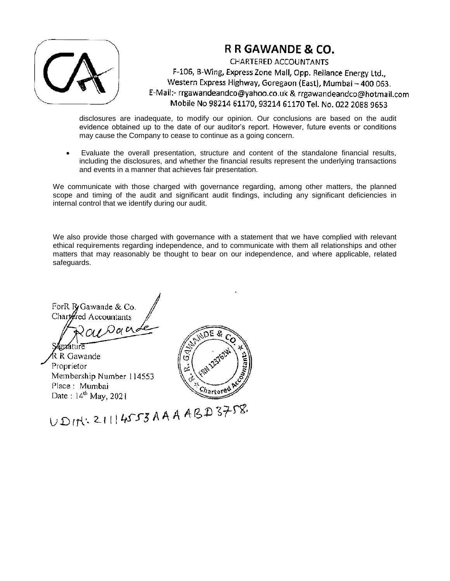

## R R GAWANDE & CO.

**CHARTERED ACCOUNTANTS** 

F-106, B-Wing, Express Zone Mall, Opp. Reliance Energy Ltd., Western Express Highway, Goregaon (East), Mumbai - 400 063. E-Mail:- rrgawandeandco@yahoo.co.uk & rrgawandeandco@hotmail.com Mobile No 98214 61170, 93214 61170 Tel. No. 022 2088 9653

disclosures are inadequate, to modify our opinion. Our conclusions are based on the audit evidence obtained up to the date of our auditor"s report. However, future events or conditions may cause the Company to cease to continue as a going concern.

 Evaluate the overall presentation, structure and content of the standalone financial results, including the disclosures, and whether the financial results represent the underlying transactions and events in a manner that achieves fair presentation.

We communicate with those charged with governance regarding, among other matters, the planned scope and timing of the audit and significant audit findings, including any significant deficiencies in internal control that we identify during our audit.

We also provide those charged with governance with a statement that we have complied with relevant ethical requirements regarding independence, and to communicate with them all relationships and other matters that may reasonably be thought to bear on our independence, and where applicable, related safeguards.

ForR RyGawande & Co. Chartered Accountants

∕atrinā

R R Gawande Proprietor Membership Number 114553 Place: Mumbai Date:  $14^{th}$  May, 2021



UDIN: 21114553AAAABD3758